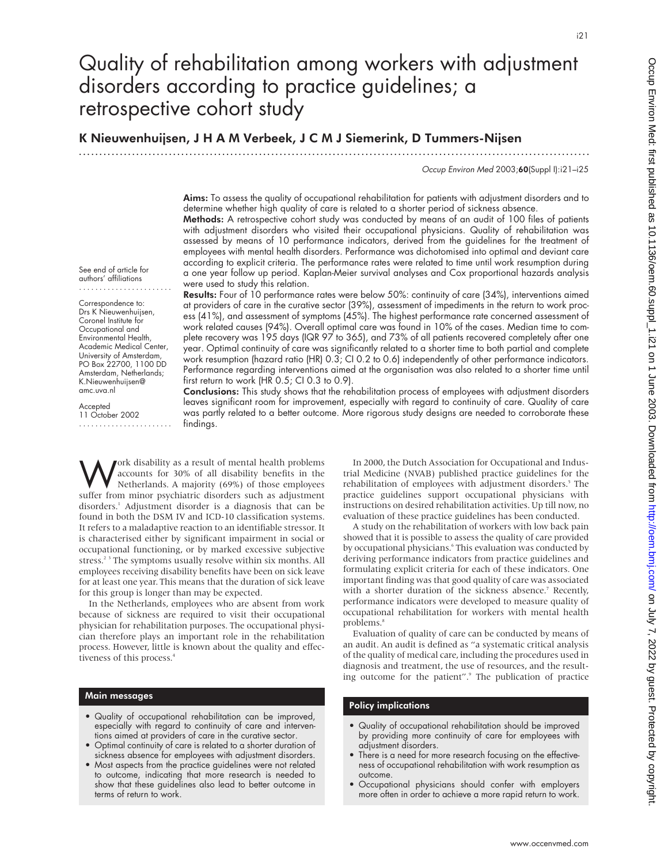# Quality of rehabilitation among workers with adjustment disorders according to practice guidelines; a retrospective cohort study

# K Nieuwenhuijsen,JHAM Verbeek,JCMJ Siemerink, D Tummers-Nijsen

.............................................................................................................................

Occup Environ Med 2003;60(Suppl I):i21–i25

i21

Aims: To assess the quality of occupational rehabilitation for patients with adjustment disorders and to determine whether high quality of care is related to a shorter period of sickness absence. Methods: A retrospective cohort study was conducted by means of an audit of 100 files of patients with adjustment disorders who visited their occupational physicians. Quality of rehabilitation was assessed by means of 10 performance indicators, derived from the guidelines for the treatment of employees with mental health disorders. Performance was dichotomised into optimal and deviant care according to explicit criteria. The performance rates were related to time until work resumption during a one year follow up period. Kaplan-Meier survival analyses and Cox proportional hazards analysis were used to study this relation.

Results: Four of 10 performance rates were below 50%: continuity of care (34%), interventions aimed

See end of article for authors' affiliations .......................

Correspondence to: Drs K Nieuwenhuijsen, Coronel Institute for Occupational and Environmental Health, Academic Medical Center, University of Amsterdam, PO Box 22700, 1100 DD Amsterdam, Netherlands; K.Nieuwenhuijsen@ amc.uva.nl

Accepted 11 October 2002 at providers of care in the curative sector (39%), assessment of impediments in the return to work process (41%), and assessment of symptoms (45%). The highest performance rate concerned assessment of work related causes (94%). Overall optimal care was found in 10% of the cases. Median time to complete recovery was 195 days (IQR 97 to 365), and 73% of all patients recovered completely after one year. Optimal continuity of care was significantly related to a shorter time to both partial and complete work resumption (hazard ratio (HR) 0.3; CI 0.2 to 0.6) independently of other performance indicators. Performance regarding interventions aimed at the organisation was also related to a shorter time until first return to work (HR 0.5; CI 0.3 to 0.9).

Conclusions: This study shows that the rehabilitation process of employees with adjustment disorders leaves significant room for improvement, especially with regard to continuity of care. Quality of care was partly related to a better outcome. More rigorous study designs are needed to corroborate these findings.

Work disability as a result of mental health problems<br>accounts for 30% of all disability benefits in the<br>Netherlands. A majority (69%) of those employees accounts for 30% of all disability benefits in the Netherlands. A majority (69%) of those employees suffer from minor psychiatric disorders such as adjustment disorders.1 Adjustment disorder is a diagnosis that can be found in both the DSM IV and ICD-10 classification systems. It refers to a maladaptive reaction to an identifiable stressor. It is characterised either by significant impairment in social or occupational functioning, or by marked excessive subjective stress.<sup>23</sup> The symptoms usually resolve within six months. All employees receiving disability benefits have been on sick leave for at least one year. This means that the duration of sick leave for this group is longer than may be expected.

In the Netherlands, employees who are absent from work because of sickness are required to visit their occupational physician for rehabilitation purposes. The occupational physician therefore plays an important role in the rehabilitation process. However, little is known about the quality and effectiveness of this process.<sup>4</sup>

# Main messages

- Quality of occupational rehabilitation can be improved, especially with regard to continuity of care and interventions aimed at providers of care in the curative sector.
- Optimal continuity of care is related to a shorter duration of sickness absence for employees with adjustment disorders.
- Most aspects from the practice guidelines were not related to outcome, indicating that more research is needed to show that these guidelines also lead to better outcome in terms of return to work.

In 2000, the Dutch Association for Occupational and Industrial Medicine (NVAB) published practice guidelines for the rehabilitation of employees with adjustment disorders.<sup>5</sup> The practice guidelines support occupational physicians with instructions on desired rehabilitation activities. Up till now, no evaluation of these practice guidelines has been conducted.

A study on the rehabilitation of workers with low back pain showed that it is possible to assess the quality of care provided by occupational physicians.<sup>6</sup> This evaluation was conducted by deriving performance indicators from practice guidelines and formulating explicit criteria for each of these indicators. One important finding was that good quality of care was associated with a shorter duration of the sickness absence.<sup>7</sup> Recently, performance indicators were developed to measure quality of occupational rehabilitation for workers with mental health problems.<sup>8</sup>

Evaluation of quality of care can be conducted by means of an audit. An audit is defined as "a systematic critical analysis of the quality of medical care, including the procedures used in diagnosis and treatment, the use of resources, and the resulting outcome for the patient".<sup>9</sup> The publication of practice

## Policy implications

- Quality of occupational rehabilitation should be improved by providing more continuity of care for employees with adjustment disorders.
- There is a need for more research focusing on the effectiveness of occupational rehabilitation with work resumption as outcome.
- Occupational physicians should confer with employers more often in order to achieve a more rapid return to work.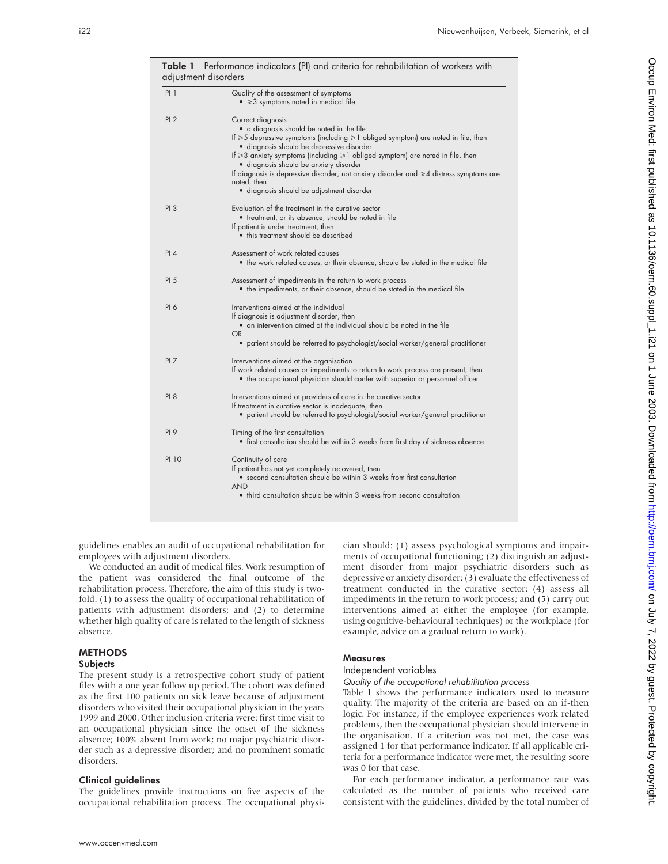| PI <sub>1</sub> | Quality of the assessment of symptoms<br>• $\geq 3$ symptoms noted in medical file                                                                                                                                                                                                                                                                                                                                                                                                                                          |
|-----------------|-----------------------------------------------------------------------------------------------------------------------------------------------------------------------------------------------------------------------------------------------------------------------------------------------------------------------------------------------------------------------------------------------------------------------------------------------------------------------------------------------------------------------------|
| PI <sub>2</sub> | Correct diagnosis<br>$\bullet$ a diagnosis should be noted in the file<br>If $\geq 5$ depressive symptoms (including $\geq 1$ obliged symptom) are noted in file, then<br>• diagnosis should be depressive disorder<br>If $\geq 3$ anxiety symptoms (including $\geq 1$ obliged symptom) are noted in file, then<br>• diagnosis should be anxiety disorder<br>If diagnosis is depressive disorder, not anxiety disorder and $\geqslant 4$ distress symptoms are<br>noted, then<br>· diagnosis should be adjustment disorder |
| PI <sub>3</sub> | Evaluation of the treatment in the curative sector<br>• treatment, or its absence, should be noted in file<br>If patient is under treatment, then<br>• this treatment should be described                                                                                                                                                                                                                                                                                                                                   |
| PI 4            | Assessment of work related causes<br>• the work related causes, or their absence, should be stated in the medical file                                                                                                                                                                                                                                                                                                                                                                                                      |
| PI <sub>5</sub> | Assessment of impediments in the return to work process<br>• the impediments, or their absence, should be stated in the medical file                                                                                                                                                                                                                                                                                                                                                                                        |
| PI 6            | Interventions aimed at the individual<br>If diagnosis is adjustment disorder, then<br>• an intervention aimed at the individual should be noted in the file<br><b>OR</b><br>• patient should be referred to psychologist/social worker/general practitioner                                                                                                                                                                                                                                                                 |
| PIZ             | Interventions aimed at the organisation<br>If work related causes or impediments to return to work process are present, then<br>• the occupational physician should confer with superior or personnel officer                                                                                                                                                                                                                                                                                                               |
| <b>PI 8</b>     | Interventions aimed at providers of care in the curative sector<br>If treatment in curative sector is inadequate, then<br>• patient should be referred to psychologist/social worker/general practitioner                                                                                                                                                                                                                                                                                                                   |
| <b>PI</b> 9     | Timing of the first consultation<br>• first consultation should be within 3 weeks from first day of sickness absence                                                                                                                                                                                                                                                                                                                                                                                                        |
| <b>PI 10</b>    | Continuity of care<br>If patient has not yet completely recovered, then<br>• second consultation should be within 3 weeks from first consultation<br><b>AND</b><br>• third consultation should be within 3 weeks from second consultation                                                                                                                                                                                                                                                                                   |

guidelines enables an audit of occupational rehabilitation for employees with adjustment disorders.

We conducted an audit of medical files. Work resumption of the patient was considered the final outcome of the rehabilitation process. Therefore, the aim of this study is twofold: (1) to assess the quality of occupational rehabilitation of patients with adjustment disorders; and (2) to determine whether high quality of care is related to the length of sickness absence.

# METHODS

# **Subjects**

The present study is a retrospective cohort study of patient files with a one year follow up period. The cohort was defined as the first 100 patients on sick leave because of adjustment disorders who visited their occupational physician in the years 1999 and 2000. Other inclusion criteria were: first time visit to an occupational physician since the onset of the sickness absence; 100% absent from work; no major psychiatric disorder such as a depressive disorder; and no prominent somatic disorders.

# Clinical guidelines

The guidelines provide instructions on five aspects of the occupational rehabilitation process. The occupational physician should: (1) assess psychological symptoms and impairments of occupational functioning; (2) distinguish an adjustment disorder from major psychiatric disorders such as depressive or anxiety disorder; (3) evaluate the effectiveness of treatment conducted in the curative sector; (4) assess all impediments in the return to work process; and (5) carry out interventions aimed at either the employee (for example, using cognitive-behavioural techniques) or the workplace (for example, advice on a gradual return to work).

# Measures

# Independent variables

# Quality of the occupational rehabilitation process

Table 1 shows the performance indicators used to measure quality. The majority of the criteria are based on an if-then logic. For instance, if the employee experiences work related problems, then the occupational physician should intervene in the organisation. If a criterion was not met, the case was assigned 1 for that performance indicator. If all applicable criteria for a performance indicator were met, the resulting score was 0 for that case.

For each performance indicator, a performance rate was calculated as the number of patients who received care consistent with the guidelines, divided by the total number of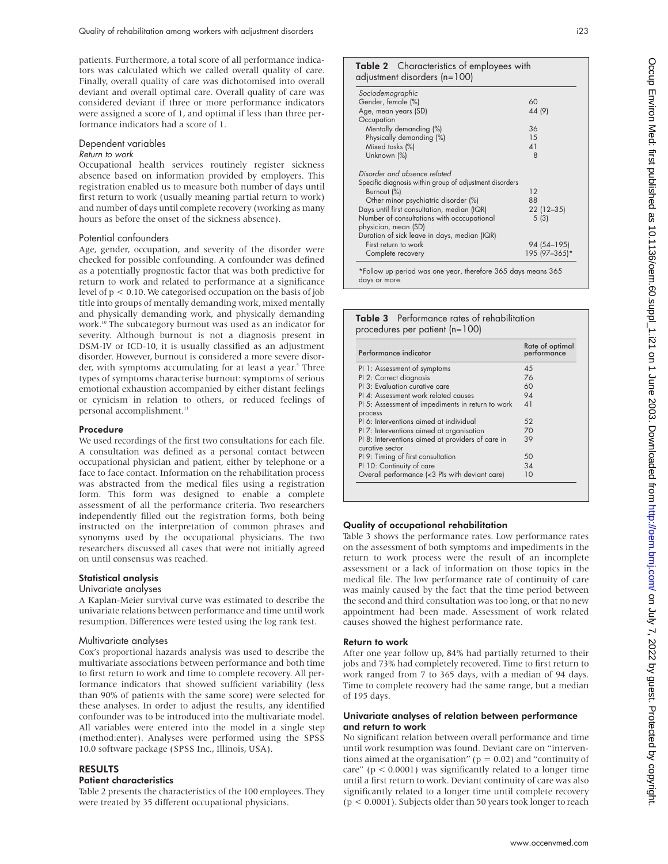patients. Furthermore, a total score of all performance indicators was calculated which we called overall quality of care. Finally, overall quality of care was dichotomised into overall deviant and overall optimal care. Overall quality of care was considered deviant if three or more performance indicators were assigned a score of 1, and optimal if less than three performance indicators had a score of 1.

#### Dependent variables

#### Return to work

Occupational health services routinely register sickness absence based on information provided by employers. This registration enabled us to measure both number of days until first return to work (usually meaning partial return to work) and number of days until complete recovery (working as many hours as before the onset of the sickness absence).

#### Potential confounders

Age, gender, occupation, and severity of the disorder were checked for possible confounding. A confounder was defined as a potentially prognostic factor that was both predictive for return to work and related to performance at a significance level of p < 0.10. We categorised occupation on the basis of job title into groups of mentally demanding work, mixed mentally and physically demanding work, and physically demanding work.10 The subcategory burnout was used as an indicator for severity. Although burnout is not a diagnosis present in DSM-IV or ICD-10, it is usually classified as an adjustment disorder. However, burnout is considered a more severe disorder, with symptoms accumulating for at least a year.<sup>5</sup> Three types of symptoms characterise burnout: symptoms of serious emotional exhaustion accompanied by either distant feelings or cynicism in relation to others, or reduced feelings of personal accomplishment.<sup>11</sup>

## Procedure

We used recordings of the first two consultations for each file. A consultation was defined as a personal contact between occupational physician and patient, either by telephone or a face to face contact. Information on the rehabilitation process was abstracted from the medical files using a registration form. This form was designed to enable a complete assessment of all the performance criteria. Two researchers independently filled out the registration forms, both being instructed on the interpretation of common phrases and synonyms used by the occupational physicians. The two researchers discussed all cases that were not initially agreed on until consensus was reached.

#### Statistical analysis

# Univariate analyses

A Kaplan-Meier survival curve was estimated to describe the univariate relations between performance and time until work resumption. Differences were tested using the log rank test.

#### Multivariate analyses

Cox's proportional hazards analysis was used to describe the multivariate associations between performance and both time to first return to work and time to complete recovery. All performance indicators that showed sufficient variability (less than 90% of patients with the same score) were selected for these analyses. In order to adjust the results, any identified confounder was to be introduced into the multivariate model. All variables were entered into the model in a single step (method:enter). Analyses were performed using the SPSS 10.0 software package (SPSS Inc., Illinois, USA).

# RESULTS

# Patient characteristics

Table 2 presents the characteristics of the 100 employees. They were treated by 35 different occupational physicians.

| Sociodemographic<br>Gender, female (%)<br>60<br>44 (9)<br>Age, mean years (SD)<br>Occupation<br>Mentally demanding (%)<br>36<br>Physically demanding (%)<br>15<br>Mixed tasks (%)<br>41<br>Unknown (%)<br>$\mathsf{R}$<br>Disorder and absence related<br>Specific diagnosis within group of adjustment disorders<br>12<br>Burnout (%)<br>Other minor psychiatric disorder (%)<br>88 |
|--------------------------------------------------------------------------------------------------------------------------------------------------------------------------------------------------------------------------------------------------------------------------------------------------------------------------------------------------------------------------------------|
|                                                                                                                                                                                                                                                                                                                                                                                      |
|                                                                                                                                                                                                                                                                                                                                                                                      |
|                                                                                                                                                                                                                                                                                                                                                                                      |
|                                                                                                                                                                                                                                                                                                                                                                                      |
|                                                                                                                                                                                                                                                                                                                                                                                      |
|                                                                                                                                                                                                                                                                                                                                                                                      |
|                                                                                                                                                                                                                                                                                                                                                                                      |
|                                                                                                                                                                                                                                                                                                                                                                                      |
|                                                                                                                                                                                                                                                                                                                                                                                      |
|                                                                                                                                                                                                                                                                                                                                                                                      |
|                                                                                                                                                                                                                                                                                                                                                                                      |
|                                                                                                                                                                                                                                                                                                                                                                                      |
| Days until first consultation, median (IQR)<br>22 (12-35)                                                                                                                                                                                                                                                                                                                            |
| Number of consultations with occcupational<br>5(3)                                                                                                                                                                                                                                                                                                                                   |
| physician, mean (SD)                                                                                                                                                                                                                                                                                                                                                                 |
| Duration of sick leave in days, median (IQR)                                                                                                                                                                                                                                                                                                                                         |
| First return to work<br>94 (54 - 195)                                                                                                                                                                                                                                                                                                                                                |
| 195 (97-365)*<br>Complete recovery                                                                                                                                                                                                                                                                                                                                                   |

\*Follow up period was one year, therefore 365 days means 365 days or more.

### **Table 3** Performance rates of rehabilitation procedures per patient (n=100)

| Performance indicator                                                | Rate of optimal<br>performance |
|----------------------------------------------------------------------|--------------------------------|
| PI 1: Assessment of symptoms                                         | 45                             |
| PI 2: Correct diagnosis                                              | 76                             |
| PL3: Evaluation curative care                                        | 60                             |
| PL4: Assessment work related causes                                  | 94                             |
| PI 5: Assessment of impediments in return to work<br>process         | $\Delta$                       |
| PL6: Interventions aimed at individual                               | 52                             |
| PI 7: Interventions aimed at organisation                            | 70                             |
| PI 8: Interventions aimed at providers of care in<br>curative sector | 39                             |
| PI 9: Timing of first consultation                                   | 50                             |
| PI 10: Continuity of care                                            | 34                             |
| Overall performance (<3 Pls with deviant care)                       | 10                             |

## Quality of occupational rehabilitation

Table 3 shows the performance rates. Low performance rates on the assessment of both symptoms and impediments in the return to work process were the result of an incomplete assessment or a lack of information on those topics in the medical file. The low performance rate of continuity of care was mainly caused by the fact that the time period between the second and third consultation was too long, or that no new appointment had been made. Assessment of work related causes showed the highest performance rate.

### Return to work

After one year follow up, 84% had partially returned to their jobs and 73% had completely recovered. Time to first return to work ranged from 7 to 365 days, with a median of 94 days. Time to complete recovery had the same range, but a median of 195 days.

#### Univariate analyses of relation between performance and return to work

No significant relation between overall performance and time until work resumption was found. Deviant care on "interventions aimed at the organisation" ( $p = 0.02$ ) and "continuity of care" (p < 0.0001) was significantly related to a longer time until a first return to work. Deviant continuity of care was also significantly related to a longer time until complete recovery (p < 0.0001). Subjects older than 50 years took longer to reach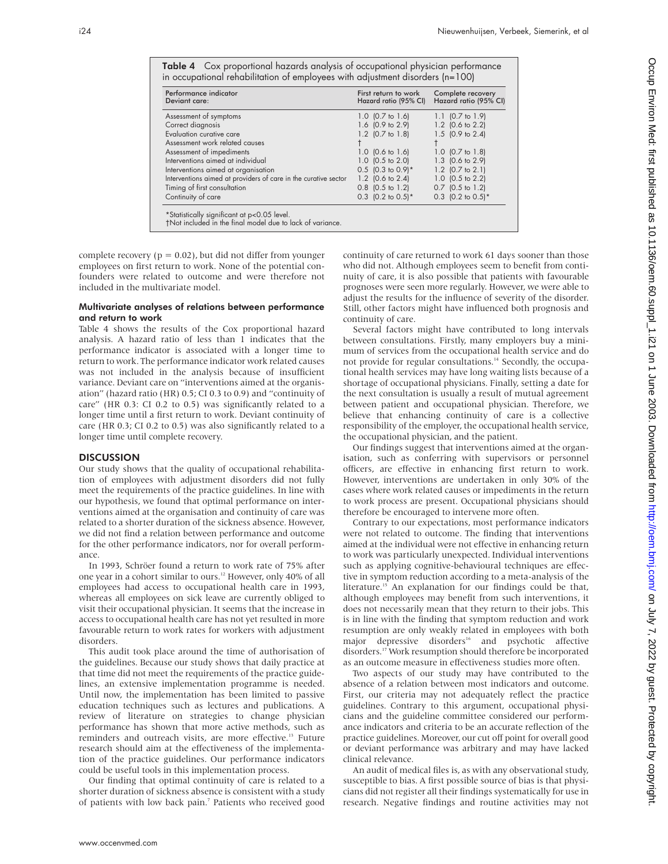Table 4 Cox proportional hazards analysis of occupational physician performance in occupational rehabilitation of employees with adjustment disorders (n=100)

| Performance indicator<br>Deviant care:                          | First return to work<br>Hazard ratio (95% CI) | Complete recovery<br>Hazard ratio (95% CI) |
|-----------------------------------------------------------------|-----------------------------------------------|--------------------------------------------|
| Assessment of symptoms                                          | 1.0 $(0.7 \text{ to } 1.6)$                   | 1.1 $(0.7 \text{ to } 1.9)$                |
| Correct diagnosis                                               | 1.6 (0.9 to 2.9)                              | $1.2$ (0.6 to 2.2)                         |
| Evaluation curative care                                        | 1.2 $(0.7 \text{ to } 1.8)$                   | 1.5 $(0.9$ to 2.4)                         |
| Assessment work related causes                                  |                                               |                                            |
| Assessment of impediments                                       | $1.0$ (0.6 to 1.6)                            | 1.0 $(0.7 \text{ to } 1.8)$                |
| Interventions aimed at individual                               | 1.0 $(0.5$ to 2.0)                            | 1.3 $(0.6 \text{ to } 2.9)$                |
| Interventions aimed at organisation                             | $0.5$ (0.3 to 0.9)*                           | 1.2 $(0.7 \text{ to } 2.1)$                |
| Interventions aimed at providers of care in the curative sector | 1.2 $(0.6 \text{ to } 2.4)$                   | $1.0$ (0.5 to 2.2)                         |
| Timing of first consultation                                    | $0.8$ (0.5 to 1.2)                            | $0.7$ (0.5 to 1.2)                         |
| Continuity of care                                              | $0.3$ (0.2 to $0.5$ )*                        | $0.3$ (0.2 to $0.5$ )*                     |

complete recovery ( $p = 0.02$ ), but did not differ from younger employees on first return to work. None of the potential confounders were related to outcome and were therefore not included in the multivariate model.

# Multivariate analyses of relations between performance and return to work

Table 4 shows the results of the Cox proportional hazard analysis. A hazard ratio of less than 1 indicates that the performance indicator is associated with a longer time to return to work. The performance indicator work related causes was not included in the analysis because of insufficient variance. Deviant care on "interventions aimed at the organisation" (hazard ratio (HR) 0.5; CI 0.3 to 0.9) and "continuity of care" (HR 0.3: CI 0.2 to 0.5) was significantly related to a longer time until a first return to work. Deviant continuity of care (HR 0.3; CI 0.2 to 0.5) was also significantly related to a longer time until complete recovery.

## **DISCUSSION**

Our study shows that the quality of occupational rehabilitation of employees with adjustment disorders did not fully meet the requirements of the practice guidelines. In line with our hypothesis, we found that optimal performance on interventions aimed at the organisation and continuity of care was related to a shorter duration of the sickness absence. However, we did not find a relation between performance and outcome for the other performance indicators, nor for overall performance.

In 1993, Schröer found a return to work rate of 75% after one year in a cohort similar to ours.<sup>12</sup> However, only 40% of all employees had access to occupational health care in 1993, whereas all employees on sick leave are currently obliged to visit their occupational physician. It seems that the increase in access to occupational health care has not yet resulted in more favourable return to work rates for workers with adjustment disorders.

This audit took place around the time of authorisation of the guidelines. Because our study shows that daily practice at that time did not meet the requirements of the practice guidelines, an extensive implementation programme is needed. Until now, the implementation has been limited to passive education techniques such as lectures and publications. A review of literature on strategies to change physician performance has shown that more active methods, such as reminders and outreach visits, are more effective.<sup>13</sup> Future research should aim at the effectiveness of the implementation of the practice guidelines. Our performance indicators could be useful tools in this implementation process.

Our finding that optimal continuity of care is related to a shorter duration of sickness absence is consistent with a study of patients with low back pain.7 Patients who received good

continuity of care returned to work 61 days sooner than those who did not. Although employees seem to benefit from continuity of care, it is also possible that patients with favourable prognoses were seen more regularly. However, we were able to adjust the results for the influence of severity of the disorder. Still, other factors might have influenced both prognosis and continuity of care.

Several factors might have contributed to long intervals between consultations. Firstly, many employers buy a minimum of services from the occupational health service and do not provide for regular consultations.<sup>14</sup> Secondly, the occupational health services may have long waiting lists because of a shortage of occupational physicians. Finally, setting a date for the next consultation is usually a result of mutual agreement between patient and occupational physician. Therefore, we believe that enhancing continuity of care is a collective responsibility of the employer, the occupational health service, the occupational physician, and the patient.

Our findings suggest that interventions aimed at the organisation, such as conferring with supervisors or personnel officers, are effective in enhancing first return to work. However, interventions are undertaken in only 30% of the cases where work related causes or impediments in the return to work process are present. Occupational physicians should therefore be encouraged to intervene more often.

Contrary to our expectations, most performance indicators were not related to outcome. The finding that interventions aimed at the individual were not effective in enhancing return to work was particularly unexpected. Individual interventions such as applying cognitive-behavioural techniques are effective in symptom reduction according to a meta-analysis of the literature.<sup>15</sup> An explanation for our findings could be that, although employees may benefit from such interventions, it does not necessarily mean that they return to their jobs. This is in line with the finding that symptom reduction and work resumption are only weakly related in employees with both major depressive disorders<sup>16</sup> and psychotic affective disorders.17 Work resumption should therefore be incorporated as an outcome measure in effectiveness studies more often.

Two aspects of our study may have contributed to the absence of a relation between most indicators and outcome. First, our criteria may not adequately reflect the practice guidelines. Contrary to this argument, occupational physicians and the guideline committee considered our performance indicators and criteria to be an accurate reflection of the practice guidelines. Moreover, our cut off point for overall good or deviant performance was arbitrary and may have lacked clinical relevance.

An audit of medical files is, as with any observational study, susceptible to bias. A first possible source of bias is that physicians did not register all their findings systematically for use in research. Negative findings and routine activities may not